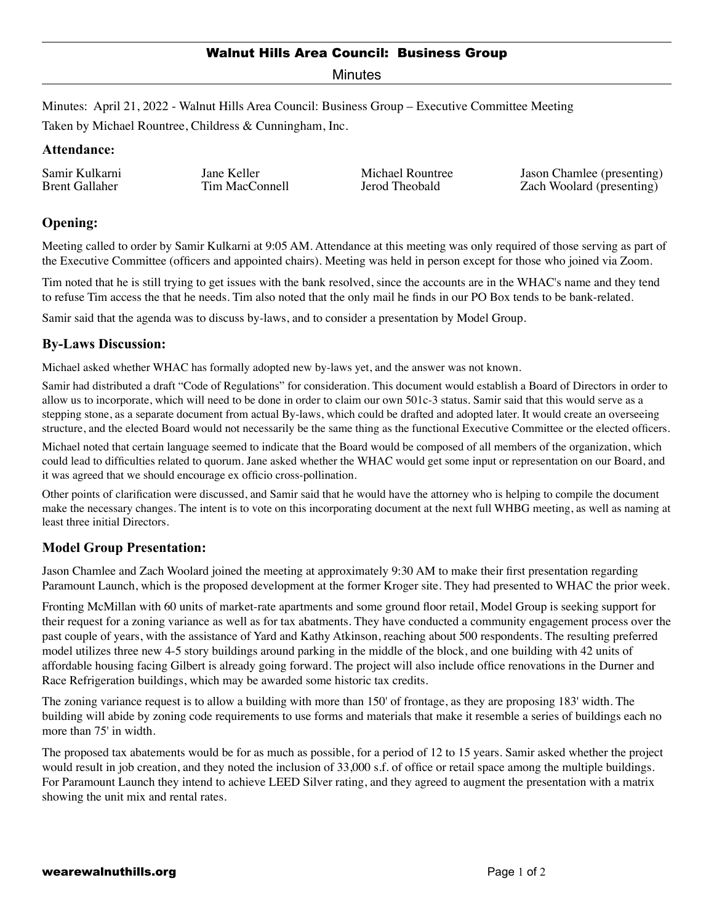#### Walnut Hills Area Council: Business Group

Minutes

Minutes: April 21, 2022 - Walnut Hills Area Council: Business Group – Executive Committee Meeting

Taken by Michael Rountree, Childress & Cunningham, Inc.

#### **Attendance:**

Samir Kulkarni Brent Gallaher

Jane Keller Tim MacConnell

Michael Rountree Jerod Theobald

Jason Chamlee (presenting) Zach Woolard (presenting)

# **Opening:**

Meeting called to order by Samir Kulkarni at 9:05 AM. Attendance at this meeting was only required of those serving as part of the Executive Committee (officers and appointed chairs). Meeting was held in person except for those who joined via Zoom.

Tim noted that he is still trying to get issues with the bank resolved, since the accounts are in the WHAC's name and they tend to refuse Tim access the that he needs. Tim also noted that the only mail he finds in our PO Box tends to be bank-related.

Samir said that the agenda was to discuss by-laws, and to consider a presentation by Model Group.

## **By-Laws Discussion:**

Michael asked whether WHAC has formally adopted new by-laws yet, and the answer was not known.

Samir had distributed a draft "Code of Regulations" for consideration. This document would establish a Board of Directors in order to allow us to incorporate, which will need to be done in order to claim our own 501c-3 status. Samir said that this would serve as a stepping stone, as a separate document from actual By-laws, which could be drafted and adopted later. It would create an overseeing structure, and the elected Board would not necessarily be the same thing as the functional Executive Committee or the elected officers.

Michael noted that certain language seemed to indicate that the Board would be composed of all members of the organization, which could lead to difficulties related to quorum. Jane asked whether the WHAC would get some input or representation on our Board, and it was agreed that we should encourage ex officio cross-pollination.

Other points of clarification were discussed, and Samir said that he would have the attorney who is helping to compile the document make the necessary changes. The intent is to vote on this incorporating document at the next full WHBG meeting, as well as naming at least three initial Directors.

## **Model Group Presentation:**

Jason Chamlee and Zach Woolard joined the meeting at approximately 9:30 AM to make their first presentation regarding Paramount Launch, which is the proposed development at the former Kroger site. They had presented to WHAC the prior week.

Fronting McMillan with 60 units of market-rate apartments and some ground floor retail, Model Group is seeking support for their request for a zoning variance as well as for tax abatments. They have conducted a community engagement process over the past couple of years, with the assistance of Yard and Kathy Atkinson, reaching about 500 respondents. The resulting preferred model utilizes three new 4-5 story buildings around parking in the middle of the block, and one building with 42 units of affordable housing facing Gilbert is already going forward. The project will also include office renovations in the Durner and Race Refrigeration buildings, which may be awarded some historic tax credits.

The zoning variance request is to allow a building with more than 150' of frontage, as they are proposing 183' width. The building will abide by zoning code requirements to use forms and materials that make it resemble a series of buildings each no more than 75' in width.

The proposed tax abatements would be for as much as possible, for a period of 12 to 15 years. Samir asked whether the project would result in job creation, and they noted the inclusion of 33,000 s.f. of office or retail space among the multiple buildings. For Paramount Launch they intend to achieve LEED Silver rating, and they agreed to augment the presentation with a matrix showing the unit mix and rental rates.